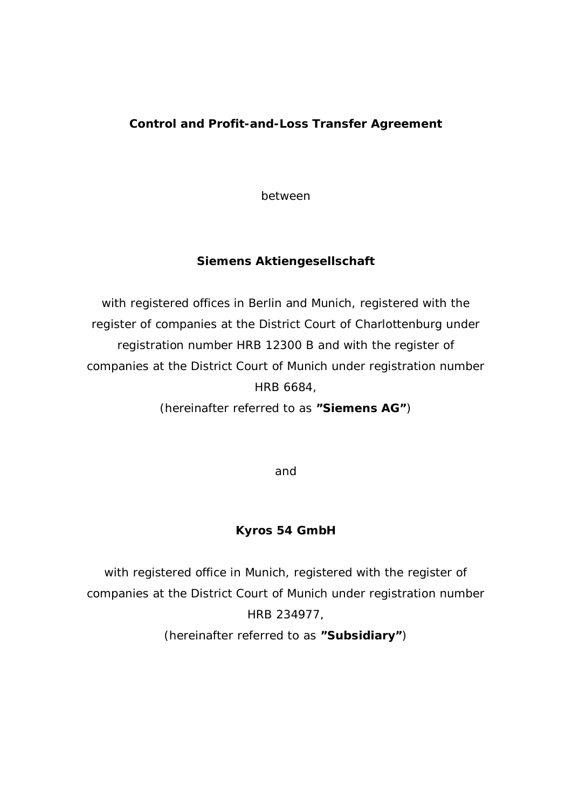## **Control and Profit-and-Loss Transfer Agreement**

between

**Siemens Aktiengesellschaft**

with registered offices in Berlin and Munich, registered with the register of companies at the District Court of Charlottenburg under registration number HRB 12300 B and with the register of companies at the District Court of Munich under registration number HRB 6684,

(hereinafter referred to as **"Siemens AG"**)

and

**Kyros 54 GmbH**

with registered office in Munich, registered with the register of companies at the District Court of Munich under registration number HRB 234977,

(hereinafter referred to as **"Subsidiary"**)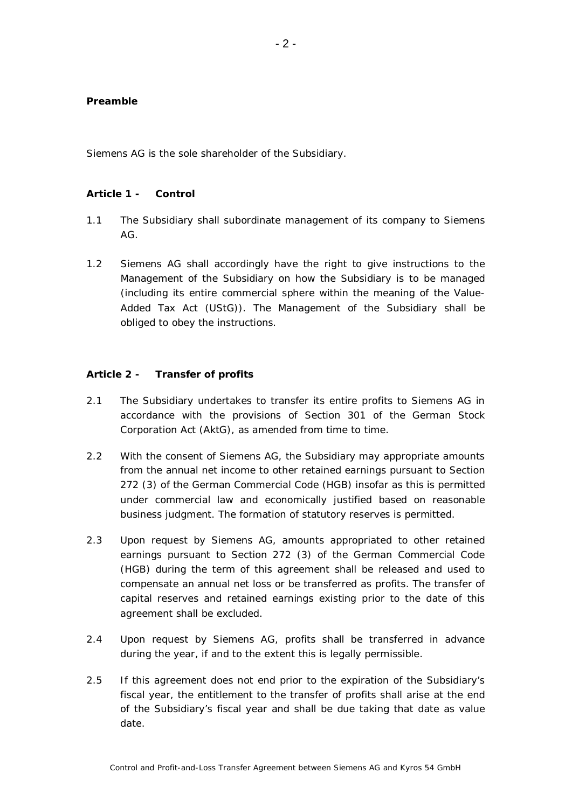## **Preamble**

Siemens AG is the sole shareholder of the Subsidiary.

## **Article 1 - Control**

- 1.1 The Subsidiary shall subordinate management of its company to Siemens AG.
- 1.2 Siemens AG shall accordingly have the right to give instructions to the Management of the Subsidiary on how the Subsidiary is to be managed (including its entire commercial sphere within the meaning of the Value-Added Tax Act (UStG)). The Management of the Subsidiary shall be obliged to obey the instructions.

## **Article 2 - Transfer of profits**

- 2.1 The Subsidiary undertakes to transfer its entire profits to Siemens AG in accordance with the provisions of Section 301 of the German Stock Corporation Act (AktG), as amended from time to time.
- 2.2 With the consent of Siemens AG, the Subsidiary may appropriate amounts from the annual net income to other retained earnings pursuant to Section 272 (3) of the German Commercial Code (HGB) insofar as this is permitted under commercial law and economically justified based on reasonable business judgment. The formation of statutory reserves is permitted.
- 2.3 Upon request by Siemens AG, amounts appropriated to other retained earnings pursuant to Section 272 (3) of the German Commercial Code (HGB) during the term of this agreement shall be released and used to compensate an annual net loss or be transferred as profits. The transfer of capital reserves and retained earnings existing prior to the date of this agreement shall be excluded.
- 2.4 Upon request by Siemens AG, profits shall be transferred in advance during the year, if and to the extent this is legally permissible.
- 2.5 If this agreement does not end prior to the expiration of the Subsidiary's fiscal year, the entitlement to the transfer of profits shall arise at the end of the Subsidiary's fiscal year and shall be due taking that date as value date.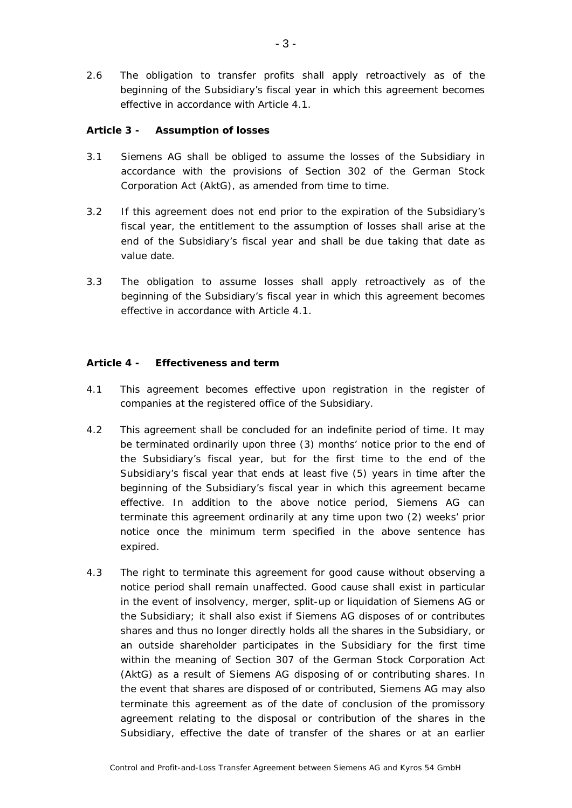2.6 The obligation to transfer profits shall apply retroactively as of the beginning of the Subsidiary's fiscal year in which this agreement becomes effective in accordance with Article 4.1.

**Article 3 - Assumption of losses**

- 3.1 Siemens AG shall be obliged to assume the losses of the Subsidiary in accordance with the provisions of Section 302 of the German Stock Corporation Act (AktG), as amended from time to time.
- 3.2 If this agreement does not end prior to the expiration of the Subsidiary's fiscal year, the entitlement to the assumption of losses shall arise at the end of the Subsidiary's fiscal year and shall be due taking that date as value date.
- 3.3 The obligation to assume losses shall apply retroactively as of the beginning of the Subsidiary's fiscal year in which this agreement becomes effective in accordance with Article 4.1.

**Article 4 - Effectiveness and term**

- 4.1 This agreement becomes effective upon registration in the register of companies at the registered office of the Subsidiary.
- 4.2 This agreement shall be concluded for an indefinite period of time. It may be terminated ordinarily upon three (3) months' notice prior to the end of the Subsidiary's fiscal year, but for the first time to the end of the Subsidiary's fiscal year that ends at least five (5) years in time after the beginning of the Subsidiary's fiscal year in which this agreement became effective. In addition to the above notice period, Siemens AG can terminate this agreement ordinarily at any time upon two (2) weeks' prior notice once the minimum term specified in the above sentence has expired.
- 4.3 The right to terminate this agreement for good cause without observing a notice period shall remain unaffected. Good cause shall exist in particular in the event of insolvency, merger, split-up or liquidation of Siemens AG or the Subsidiary; it shall also exist if Siemens AG disposes of or contributes shares and thus no longer directly holds all the shares in the Subsidiary, or an outside shareholder participates in the Subsidiary for the first time within the meaning of Section 307 of the German Stock Corporation Act (AktG) as a result of Siemens AG disposing of or contributing shares. In the event that shares are disposed of or contributed, Siemens AG may also terminate this agreement as of the date of conclusion of the promissory agreement relating to the disposal or contribution of the shares in the Subsidiary, effective the date of transfer of the shares or at an earlier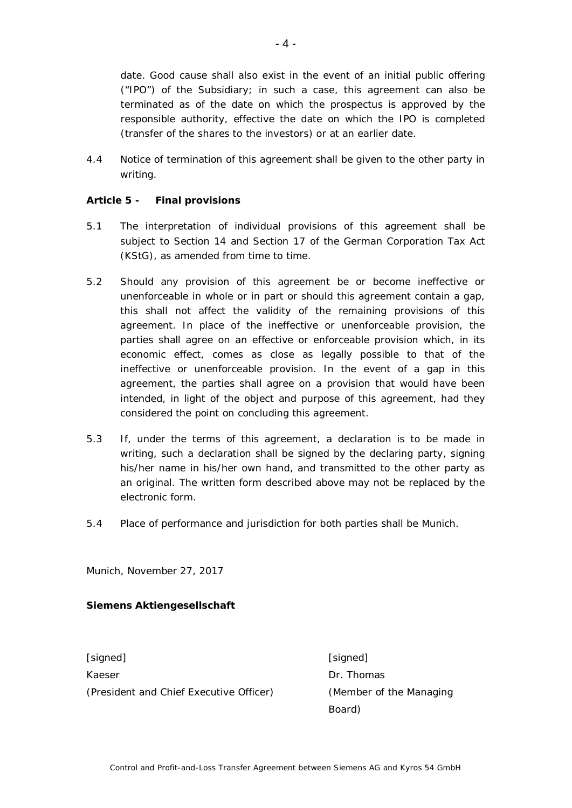date. Good cause shall also exist in the event of an initial public offering ("IPO") of the Subsidiary; in such a case, this agreement can also be terminated as of the date on which the prospectus is approved by the responsible authority, effective the date on which the IPO is completed (transfer of the shares to the investors) or at an earlier date.

4.4 Notice of termination of this agreement shall be given to the other party in writing.

**Article 5 - Final provisions**

- 5.1 The interpretation of individual provisions of this agreement shall be subject to Section 14 and Section 17 of the German Corporation Tax Act (KStG), as amended from time to time.
- 5.2 Should any provision of this agreement be or become ineffective or unenforceable in whole or in part or should this agreement contain a gap, this shall not affect the validity of the remaining provisions of this agreement. In place of the ineffective or unenforceable provision, the parties shall agree on an effective or enforceable provision which, in its economic effect, comes as close as legally possible to that of the ineffective or unenforceable provision. In the event of a gap in this agreement, the parties shall agree on a provision that would have been intended, in light of the object and purpose of this agreement, had they considered the point on concluding this agreement.
- 5.3 If, under the terms of this agreement, a declaration is to be made in writing, such a declaration shall be signed by the declaring party, signing his/her name in his/her own hand, and transmitted to the other party as an original. The written form described above may not be replaced by the electronic form.
- 5.4 Place of performance and jurisdiction for both parties shall be Munich.

Munich, November 27, 2017

**Siemens Aktiengesellschaft**

[signed] [signed] Kaeser **Dr. Thomas** (President and Chief Executive Officer) (Member of the Managing

Board)